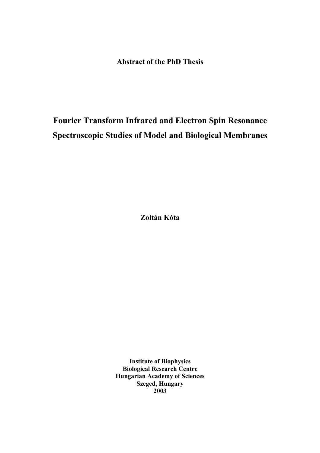**Abstract of the PhD Thesis** 

# **Fourier Transform Infrared and Electron Spin Resonance Spectroscopic Studies of Model and Biological Membranes**

**Zoltán Kóta** 

**Institute of Biophysics Biological Research Centre Hungarian Academy of Sciences Szeged, Hungary 2003**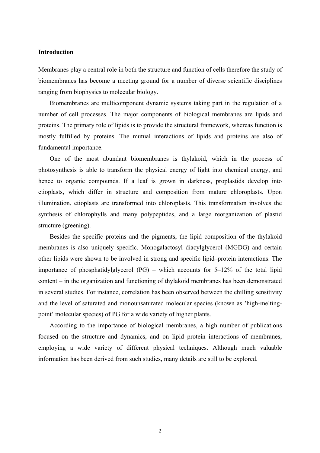# **Introduction**

Membranes play a central role in both the structure and function of cells therefore the study of biomembranes has become a meeting ground for a number of diverse scientific disciplines ranging from biophysics to molecular biology.

 Biomembranes are multicomponent dynamic systems taking part in the regulation of a number of cell processes. The major components of biological membranes are lipids and proteins. The primary role of lipids is to provide the structural framework, whereas function is mostly fulfilled by proteins. The mutual interactions of lipids and proteins are also of fundamental importance.

 One of the most abundant biomembranes is thylakoid, which in the process of photosynthesis is able to transform the physical energy of light into chemical energy, and hence to organic compounds. If a leaf is grown in darkness, proplastids develop into etioplasts, which differ in structure and composition from mature chloroplasts. Upon illumination, etioplasts are transformed into chloroplasts. This transformation involves the synthesis of chlorophylls and many polypeptides, and a large reorganization of plastid structure (greening).

 Besides the specific proteins and the pigments, the lipid composition of the thylakoid membranes is also uniquely specific. Monogalactosyl diacylglycerol (MGDG) and certain other lipids were shown to be involved in strong and specific lipid–protein interactions. The importance of phosphatidylglycerol  $(PG)$  – which accounts for  $5-12\%$  of the total lipid content – in the organization and functioning of thylakoid membranes has been demonstrated in several studies. For instance, correlation has been observed between the chilling sensitivity and the level of saturated and monounsaturated molecular species (known as 'high-meltingpoint' molecular species) of PG for a wide variety of higher plants.

 According to the importance of biological membranes, a high number of publications focused on the structure and dynamics, and on lipid–protein interactions of membranes, employing a wide variety of different physical techniques. Although much valuable information has been derived from such studies, many details are still to be explored.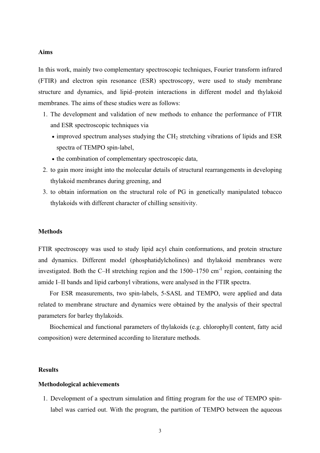#### **Aims**

In this work, mainly two complementary spectroscopic techniques, Fourier transform infrared (FTIR) and electron spin resonance (ESR) spectroscopy, were used to study membrane structure and dynamics, and lipid–protein interactions in different model and thylakoid membranes. The aims of these studies were as follows:

- 1. The development and validation of new methods to enhance the performance of FTIR and ESR spectroscopic techniques via
	- $\bullet$  improved spectrum analyses studying the CH<sub>2</sub> stretching vibrations of lipids and ESR spectra of TEMPO spin-label,
	- the combination of complementary spectroscopic data,
- 2. to gain more insight into the molecular details of structural rearrangements in developing thylakoid membranes during greening, and
- 3. to obtain information on the structural role of PG in genetically manipulated tobacco thylakoids with different character of chilling sensitivity.

## **Methods**

FTIR spectroscopy was used to study lipid acyl chain conformations, and protein structure and dynamics. Different model (phosphatidylcholines) and thylakoid membranes were investigated. Both the C–H stretching region and the  $1500-1750$  cm<sup>-1</sup> region, containing the amide I–II bands and lipid carbonyl vibrations, were analysed in the FTIR spectra.

 For ESR measurements, two spin-labels, 5-SASL and TEMPO, were applied and data related to membrane structure and dynamics were obtained by the analysis of their spectral parameters for barley thylakoids.

 Biochemical and functional parameters of thylakoids (e.g. chlorophyll content, fatty acid composition) were determined according to literature methods.

#### **Results**

## **Methodological achievements**

1. Development of a spectrum simulation and fitting program for the use of TEMPO spinlabel was carried out. With the program, the partition of TEMPO between the aqueous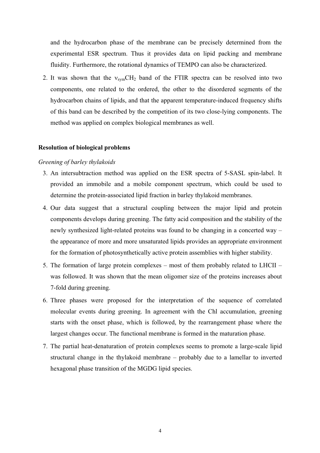and the hydrocarbon phase of the membrane can be precisely determined from the experimental ESR spectrum. Thus it provides data on lipid packing and membrane fluidity. Furthermore, the rotational dynamics of TEMPO can also be characterized.

2. It was shown that the  $v_{sym}CH_2$  band of the FTIR spectra can be resolved into two components, one related to the ordered, the other to the disordered segments of the hydrocarbon chains of lipids, and that the apparent temperature-induced frequency shifts of this band can be described by the competition of its two close-lying components. The method was applied on complex biological membranes as well.

## **Resolution of biological problems**

# *Greening of barley thylakoids*

- 3. An intersubtraction method was applied on the ESR spectra of 5-SASL spin-label. It provided an immobile and a mobile component spectrum, which could be used to determine the protein-associated lipid fraction in barley thylakoid membranes.
- 4. Our data suggest that a structural coupling between the major lipid and protein components develops during greening. The fatty acid composition and the stability of the newly synthesized light-related proteins was found to be changing in a concerted way – the appearance of more and more unsaturated lipids provides an appropriate environment for the formation of photosynthetically active protein assemblies with higher stability.
- 5. The formation of large protein complexes most of them probably related to LHCII was followed. It was shown that the mean oligomer size of the proteins increases about 7-fold during greening.
- 6. Three phases were proposed for the interpretation of the sequence of correlated molecular events during greening. In agreement with the Chl accumulation, greening starts with the onset phase, which is followed, by the rearrangement phase where the largest changes occur. The functional membrane is formed in the maturation phase.
- 7. The partial heat-denaturation of protein complexes seems to promote a large-scale lipid structural change in the thylakoid membrane – probably due to a lamellar to inverted hexagonal phase transition of the MGDG lipid species.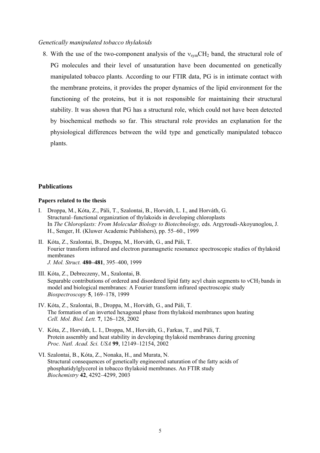# *Genetically manipulated tobacco thylakoids*

8. With the use of the two-component analysis of the  $v_{sym}CH_2$  band, the structural role of PG molecules and their level of unsaturation have been documented on genetically manipulated tobacco plants. According to our FTIR data, PG is in intimate contact with the membrane proteins, it provides the proper dynamics of the lipid environment for the functioning of the proteins, but it is not responsible for maintaining their structural stability. It was shown that PG has a structural role, which could not have been detected by biochemical methods so far. This structural role provides an explanation for the physiological differences between the wild type and genetically manipulated tobacco plants.

# **Publications**

#### **Papers related to the thesis**

- I. Droppa, M., Kóta, Z., Páli, T., Szalontai, B., Horváth, L. I., and Horváth, G. Structural–functional organization of thylakoids in developing chloroplasts In *The Chloroplasts: From Molecular Biology to Biotechnology,* eds. Argyroudi-Akoyunoglou, J. H., Senger, H. (Kluwer Academic Publishers), pp. 55–60., 1999
- II. Kóta, Z., Szalontai, B., Droppa, M., Horváth, G., and Páli, T. Fourier transform infrared and electron paramagnetic resonance spectroscopic studies of thylakoid membranes *J. Mol. Struct.* **480–481**, 395–400, 1999
- III. Kóta, Z., Debreczeny, M., Szalontai, B. Separable contributions of ordered and disordered lipid fatty acyl chain segments to  $vCH<sub>2</sub>$  bands in model and biological membranes: A Fourier transform infrared spectroscopic study *Biospectroscopy* **5**, 169–178, 1999
- IV. Kóta, Z., Szalontai, B., Droppa, M., Horváth, G., and Páli, T. The formation of an inverted hexagonal phase from thylakoid membranes upon heating *Cell. Mol. Biol. Lett.* **7**, 126–128, 2002
- V. Kóta, Z., Horváth, L. I., Droppa, M., Horváth, G., Farkas, T., and Páli, T. Protein assembly and heat stability in developing thylakoid membranes during greening *Proc. Natl. Acad. Sci. USA* **99**, 12149–12154, 2002
- VI. Szalontai, B., Kóta, Z., Nonaka, H., and Murata, N. Structural consequences of genetically engineered saturation of the fatty acids of phosphatidylglycerol in tobacco thylakoid membranes. An FTIR study *Biochemistry* **42**, 4292–4299, 2003